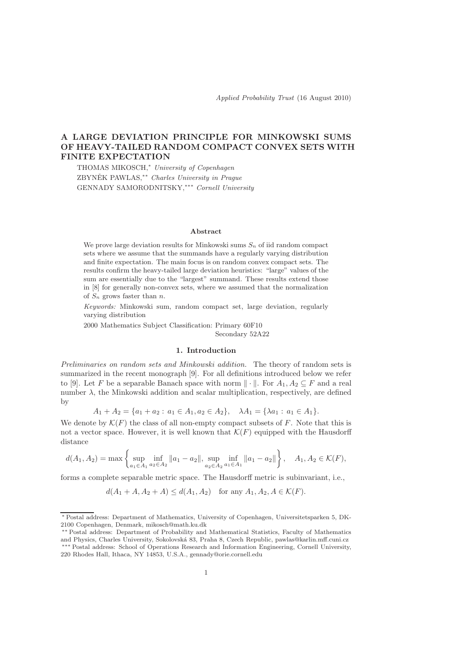Applied Probability Trust (16 August 2010)

# A LARGE DEVIATION PRINCIPLE FOR MINKOWSKI SUMS OF HEAVY-TAILED RANDOM COMPACT CONVEX SETS WITH FINITE EXPECTATION

THOMAS MIKOSCH,<sup>∗</sup> University of Copenhagen ZBYNĚK PAWLAS, \*\* Charles University in Prague GENNADY SAMORODNITSKY,∗∗∗ Cornell University

#### Abstract

We prove large deviation results for Minkowski sums  $S_n$  of iid random compact sets where we assume that the summands have a regularly varying distribution and finite expectation. The main focus is on random convex compact sets. The results confirm the heavy-tailed large deviation heuristics: "large" values of the sum are essentially due to the "largest" summand. These results extend those in [8] for generally non-convex sets, where we assumed that the normalization of  $S_n$  grows faster than n.

Keywords: Minkowski sum, random compact set, large deviation, regularly varying distribution

2000 Mathematics Subject Classification: Primary 60F10

Secondary 52A22

### 1. Introduction

Preliminaries on random sets and Minkowski addition. The theory of random sets is summarized in the recent monograph [9]. For all definitions introduced below we refer to [9]. Let F be a separable Banach space with norm  $\|\cdot\|$ . For  $A_1, A_2 \subseteq F$  and a real number  $\lambda$ , the Minkowski addition and scalar multiplication, respectively, are defined by

$$
A_1 + A_2 = \{a_1 + a_2 : a_1 \in A_1, a_2 \in A_2\}, \quad \lambda A_1 = \{\lambda a_1 : a_1 \in A_1\}.
$$

We denote by  $\mathcal{K}(F)$  the class of all non-empty compact subsets of F. Note that this is not a vector space. However, it is well known that  $\mathcal{K}(F)$  equipped with the Hausdorff distance

$$
d(A_1, A_2) = \max \left\{ \sup_{a_1 \in A_1} \inf_{a_2 \in A_2} ||a_1 - a_2||, \sup_{a_2 \in A_2} \inf_{a_1 \in A_1} ||a_1 - a_2|| \right\}, \quad A_1, A_2 \in \mathcal{K}(F),
$$

forms a complete separable metric space. The Hausdorff metric is subinvariant, i.e.,

$$
d(A_1 + A, A_2 + A) \le d(A_1, A_2) \text{ for any } A_1, A_2, A \in \mathcal{K}(F).
$$

<sup>∗</sup> Postal address: Department of Mathematics, University of Copenhagen, Universitetsparken 5, DK-2100 Copenhagen, Denmark, mikosch@math.ku.dk

<sup>∗∗</sup> Postal address: Department of Probability and Mathematical Statistics, Faculty of Mathematics and Physics, Charles University, Sokolovsk´a 83, Praha 8, Czech Republic, pawlas@karlin.mff.cuni.cz ∗∗∗ Postal address: School of Operations Research and Information Engineering, Cornell University, 220 Rhodes Hall, Ithaca, NY 14853, U.S.A., gennady@orie.cornell.edu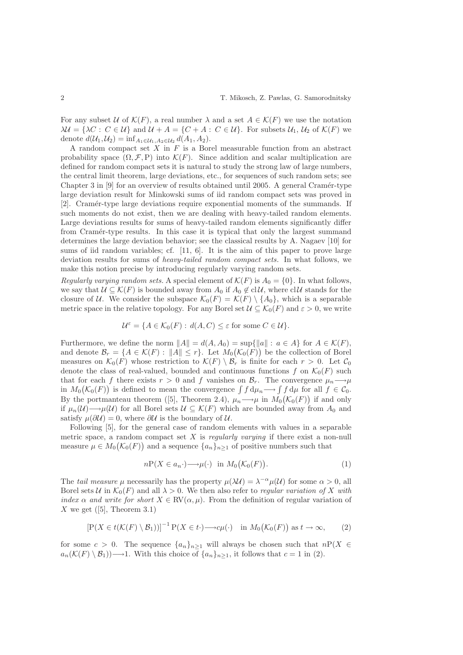For any subset U of  $\mathcal{K}(F)$ , a real number  $\lambda$  and a set  $A \in \mathcal{K}(F)$  we use the notation  $\lambda \mathcal{U} = {\lambda C : C \in \mathcal{U}}$  and  $\mathcal{U} + A = {C + A : C \in \mathcal{U}}$ . For subsets  $\mathcal{U}_1, \mathcal{U}_2$  of  $\mathcal{K}(F)$  we denote  $d(\mathcal{U}_1, \mathcal{U}_2) = \inf_{A_1 \in \mathcal{U}_1, A_2 \in \mathcal{U}_2} d(A_1, A_2).$ 

A random compact set  $X$  in  $F$  is a Borel measurable function from an abstract probability space  $(\Omega, \mathcal{F}, P)$  into  $\mathcal{K}(F)$ . Since addition and scalar multiplication are defined for random compact sets it is natural to study the strong law of large numbers, the central limit theorem, large deviations, etc., for sequences of such random sets; see Chapter 3 in [9] for an overview of results obtained until 2005. A general Cramér-type large deviation result for Minkowski sums of iid random compact sets was proved in [2]. Cram´er-type large deviations require exponential moments of the summands. If such moments do not exist, then we are dealing with heavy-tailed random elements. Large deviations results for sums of heavy-tailed random elements significantly differ from Cram´er-type results. In this case it is typical that only the largest summand determines the large deviation behavior; see the classical results by A. Nagaev [10] for sums of iid random variables; cf. [11, 6]. It is the aim of this paper to prove large deviation results for sums of heavy-tailed random compact sets. In what follows, we make this notion precise by introducing regularly varying random sets.

Regularly varying random sets. A special element of  $\mathcal{K}(F)$  is  $A_0 = \{0\}$ . In what follows, we say that  $U \subseteq \mathcal{K}(F)$  is bounded away from  $A_0$  if  $A_0 \notin \text{cl}\,\mathcal{U}$ , where  $\text{cl}\,\mathcal{U}$  stands for the closure of U. We consider the subspace  $\mathcal{K}_0(F) = \mathcal{K}(F) \setminus \{A_0\}$ , which is a separable metric space in the relative topology. For any Borel set  $\mathcal{U} \subseteq \mathcal{K}_0(F)$  and  $\varepsilon > 0$ , we write

$$
\mathcal{U}^{\varepsilon} = \{ A \in \mathcal{K}_0(F) : d(A, C) \le \varepsilon \text{ for some } C \in \mathcal{U} \}.
$$

Furthermore, we define the norm  $||A|| = d(A, A_0) = \sup{||a|| : a \in A}$  for  $A \in \mathcal{K}(F)$ , and denote  $\mathcal{B}_r = \{A \in \mathcal{K}(F) : ||A|| \leq r\}$ . Let  $M_0(\mathcal{K}_0(F))$  be the collection of Borel measures on  $\mathcal{K}_0(F)$  whose restriction to  $\mathcal{K}(F) \setminus \mathcal{B}_r$  is finite for each  $r > 0$ . Let  $\mathcal{C}_0$ denote the class of real-valued, bounded and continuous functions f on  $\mathcal{K}_0(F)$  such that for each f there exists  $r > 0$  and f vanishes on  $\mathcal{B}_r$ . The convergence  $\mu_n \longrightarrow \mu$ in  $M_0(\mathcal{K}_0(F))$  is defined to mean the convergence  $\int f d\mu_n \longrightarrow \int f d\mu$  for all  $f \in \mathcal{C}_0$ . By the portmanteau theorem ([5], Theorem 2.4),  $\mu_n \longrightarrow \mu$  in  $M_0(\mathcal{K}_0(F))$  if and only if  $\mu_n(\mathcal{U}) \longrightarrow \mu(\mathcal{U})$  for all Borel sets  $\mathcal{U} \subseteq \mathcal{K}(F)$  which are bounded away from  $A_0$  and satisfy  $\mu(\partial \mathcal{U}) = 0$ , where  $\partial \mathcal{U}$  is the boundary of  $\mathcal{U}$ .

Following [5], for the general case of random elements with values in a separable metric space, a random compact set  $X$  is *regularly varying* if there exist a non-null measure  $\mu \in M_0(\mathcal{K}_0(F))$  and a sequence  $\{a_n\}_{n\geq 1}$  of positive numbers such that

$$
n\mathcal{P}(X \in a_n \cdot) \longrightarrow \mu(\cdot) \quad \text{in } M_0(\mathcal{K}_0(F)). \tag{1}
$$

The *tail measure*  $\mu$  necessarily has the property  $\mu(\lambda \mathcal{U}) = \lambda^{-\alpha} \mu(\mathcal{U})$  for some  $\alpha > 0$ , all Borel sets U in  $\mathcal{K}_0(F)$  and all  $\lambda > 0$ . We then also refer to *regular variation of* X with index  $\alpha$  and write for short  $X \in \text{RV}(\alpha, \mu)$ . From the definition of regular variation of X we get  $([5],$  Theorem 3.1)

$$
\left[\mathcal{P}(X \in t(\mathcal{K}(F) \setminus \mathcal{B}_1))\right]^{-1} \mathcal{P}(X \in t \cdot) \longrightarrow c\mu(\cdot) \quad \text{in } M_0(\mathcal{K}_0(F)) \text{ as } t \to \infty,
$$
 (2)

for some  $c > 0$ . The sequence  $\{a_n\}_{n\geq 1}$  will always be chosen such that  $nP(X \in$  $a_n(\mathcal{K}(F) \setminus \mathcal{B}_1) \longrightarrow 1$ . With this choice of  $\{a_n\}_{n\geq 1}$ , it follows that  $c = 1$  in (2).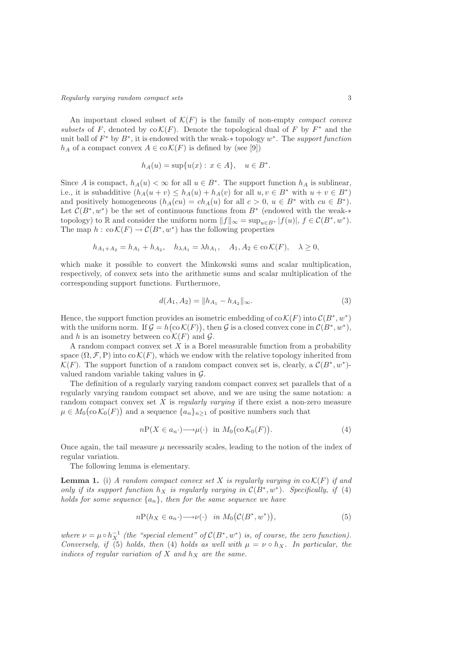An important closed subset of  $\mathcal{K}(F)$  is the family of non-empty compact convex subsets of F, denoted by  $\operatorname{co} \mathcal{K}(F)$ . Denote the topological dual of F by  $F^*$  and the unit ball of  $F^*$  by  $B^*$ , it is endowed with the weak- $*$  topology  $w^*$ . The support function  $h_A$  of a compact convex  $A \in \text{co }\mathcal{K}(F)$  is defined by (see [9])

$$
h_A(u) = \sup\{u(x) : x \in A\}, \quad u \in B^*.
$$

Since A is compact,  $h_A(u) < \infty$  for all  $u \in B^*$ . The support function  $h_A$  is sublinear, i.e., it is subadditive  $(h_A(u + v) \le h_A(u) + h_A(v)$  for all  $u, v \in B^*$  with  $u + v \in B^*$ ) and positively homogeneous  $(h_A(cu) = ch_A(u)$  for all  $c > 0$ ,  $u \in B^*$  with  $cu \in B^*$ ). Let  $\mathcal{C}(B^*, w^*)$  be the set of continuous functions from  $B^*$  (endowed with the weak-\* topology) to R and consider the uniform norm  $||f||_{\infty} = \sup_{u \in B^*} |f(u)|, f \in C(B^*, w^*).$ The map  $h : \text{co }\mathcal{K}(F) \to \mathcal{C}(B^*, w^*)$  has the following properties

$$
h_{A_1+A_2} = h_{A_1} + h_{A_2}, \quad h_{\lambda A_1} = \lambda h_{A_1}, \quad A_1, A_2 \in \text{co }\mathcal{K}(F), \quad \lambda \ge 0,
$$

which make it possible to convert the Minkowski sums and scalar multiplication, respectively, of convex sets into the arithmetic sums and scalar multiplication of the corresponding support functions. Furthermore,

$$
d(A_1, A_2) = ||h_{A_1} - h_{A_2}||_{\infty}.
$$
\n(3)

Hence, the support function provides an isometric embedding of co  $\mathcal{K}(F)$  into  $\mathcal{C}(B^*, w^*)$ with the uniform norm. If  $\mathcal{G} = h(c \mathcal{K}(F))$ , then  $\mathcal{G}$  is a closed convex cone in  $\mathcal{C}(B^*, w^*)$ , and h is an isometry between  $\operatorname{co}\mathcal{K}(F)$  and  $\mathcal{G}$ .

A random compact convex set  $X$  is a Borel measurable function from a probability space  $(\Omega, \mathcal{F}, P)$  into co  $\mathcal{K}(F)$ , which we endow with the relative topology inherited from  $\mathcal{K}(F)$ . The support function of a random compact convex set is, clearly, a  $\mathcal{C}(B^*, w^*)$ valued random variable taking values in  $\mathcal{G}$ .

The definition of a regularly varying random compact convex set parallels that of a regularly varying random compact set above, and we are using the same notation: a random compact convex set  $X$  is *regularly varying* if there exist a non-zero measure  $\mu \in M_0(\text{co }\mathcal{K}_0(F))$  and a sequence  $\{a_n\}_{n \geq 1}$  of positive numbers such that

$$
n\mathcal{P}(X \in a_n \cdot) \longrightarrow \mu(\cdot) \quad \text{in} \ M_0\big(\text{co}\,\mathcal{K}_0(F)\big). \tag{4}
$$

Once again, the tail measure  $\mu$  necessarily scales, leading to the notion of the index of regular variation.

The following lemma is elementary.

**Lemma 1.** (i) A random compact convex set X is regularly varying in  $\text{co } \mathcal{K}(F)$  if and only if its support function  $h_X$  is regularly varying in  $C(B^*, w^*)$ . Specifically, if (4) holds for some sequence  $\{a_n\}$ , then for the same sequence we have

$$
nP(h_X \in a_n \cdot) \longrightarrow \nu(\cdot) \quad \text{in } M_0(\mathcal{C}(B^*, w^*)), \tag{5}
$$

where  $\nu = \mu \circ h_X^{-1}$  (the "special element" of  $C(B^*, w^*)$  is, of course, the zero function). Conversely, if (5) holds, then (4) holds as well with  $\mu = \nu \circ h_X$ . In particular, the indices of regular variation of  $X$  and  $h_X$  are the same.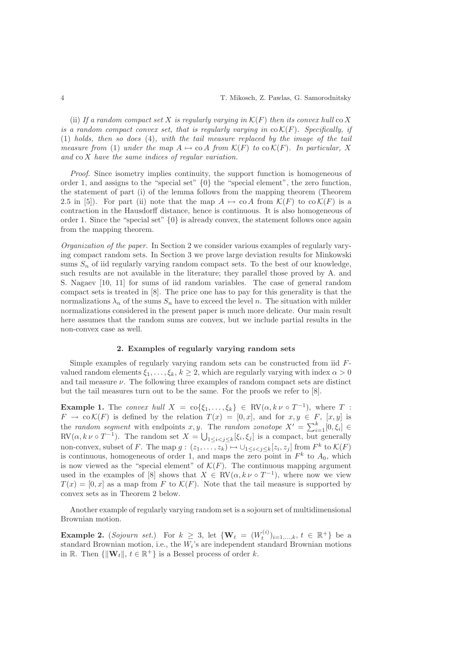(ii) If a random compact set X is regularly varying in  $\mathcal{K}(F)$  then its convex hull co X is a random compact convex set, that is regularly varying in  $co K(F)$ . Specifically, if (1) holds, then so does (4), with the tail measure replaced by the image of the tail measure from (1) under the map  $A \mapsto \text{co } A$  from  $\mathcal{K}(F)$  to  $\text{co } \mathcal{K}(F)$ . In particular, X and co X have the same indices of regular variation.

Proof. Since isometry implies continuity, the support function is homogeneous of order 1, and assigns to the "special set" {0} the "special element", the zero function, the statement of part (i) of the lemma follows from the mapping theorem (Theorem 2.5 in [5]). For part (ii) note that the map  $A \mapsto \text{co } A$  from  $\mathcal{K}(F)$  to  $\text{co } \mathcal{K}(F)$  is a contraction in the Hausdorff distance, hence is continuous. It is also homogeneous of order 1. Since the "special set"  $\{0\}$  is already convex, the statement follows once again from the mapping theorem.

Organization of the paper. In Section 2 we consider various examples of regularly varying compact random sets. In Section 3 we prove large deviation results for Minkowski sums  $S_n$  of iid regularly varying random compact sets. To the best of our knowledge, such results are not available in the literature; they parallel those proved by A. and S. Nagaev [10, 11] for sums of iid random variables. The case of general random compact sets is treated in [8]. The price one has to pay for this generality is that the normalizations  $\lambda_n$  of the sums  $S_n$  have to exceed the level n. The situation with milder normalizations considered in the present paper is much more delicate. Our main result here assumes that the random sums are convex, but we include partial results in the non-convex case as well.

## 2. Examples of regularly varying random sets

Simple examples of regularly varying random sets can be constructed from iid Fvalued random elements  $\xi_1, \ldots, \xi_k, k \geq 2$ , which are regularly varying with index  $\alpha > 0$ and tail measure  $\nu$ . The following three examples of random compact sets are distinct but the tail measures turn out to be the same. For the proofs we refer to [8].

**Example 1.** The convex hull  $X = \text{co}\{\xi_1, \ldots, \xi_k\} \in \text{RV}(\alpha, k \nu \circ T^{-1}),$  where  $T$ :  $F \to \text{co }\mathcal{K}(F)$  is defined by the relation  $T(x) = [0, x]$ , and for  $x, y \in F$ ,  $[x, y]$  is the *random segment* with endpoints x, y. The *random zonotope*  $X' = \sum_{i=1}^{k} [0, \xi_i] \in$  $RV(\alpha, k \nu \circ T^{-1})$ . The random set  $X = \bigcup_{1 \leq i < j \leq k} [\xi_i, \xi_j]$  is a compact, but generally non-convex, subset of F. The map  $g: (z_1, \ldots, z_k) \mapsto \bigcup_{1 \leq i < j \leq k} [z_i, z_j]$  from  $F^k$  to  $\mathcal{K}(F)$ is continuous, homogeneous of order 1, and maps the zero point in  $F<sup>k</sup>$  to  $A<sub>0</sub>$ , which is now viewed as the "special element" of  $\mathcal{K}(F)$ . The continuous mapping argument used in the examples of [8] shows that  $X \in RV(\alpha, k \nu \circ T^{-1})$ , where now we view  $T(x) = [0, x]$  as a map from F to  $\mathcal{K}(F)$ . Note that the tail measure is supported by convex sets as in Theorem 2 below.

Another example of regularly varying random set is a sojourn set of multidimensional Brownian motion.

**Example 2.** (*Sojourn set.*) For  $k \geq 3$ , let  $\{W_t = (W_t^{(i)})_{i=1,...,k}, t \in \mathbb{R}^+\}$  be a standard Brownian motion, i.e., the W<sup>i</sup> 's are independent standard Brownian motions in R. Then  $\{\|\mathbf{W}_t\|, t \in \mathbb{R}^+\}$  is a Bessel process of order k.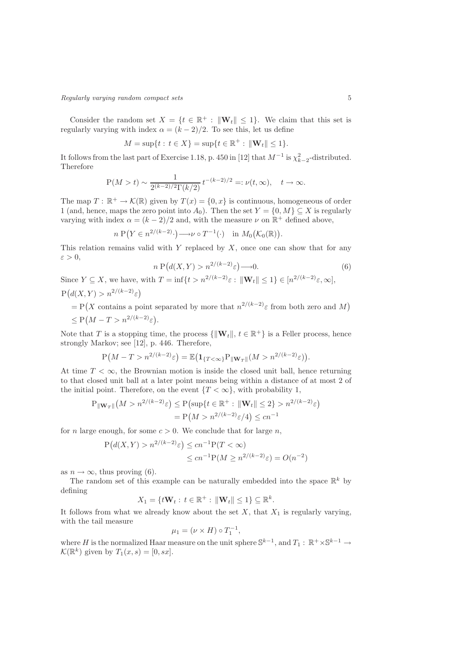Consider the random set  $X = \{t \in \mathbb{R}^+ : ||\mathbf{W}_t|| \leq 1\}$ . We claim that this set is regularly varying with index  $\alpha = (k-2)/2$ . To see this, let us define

$$
M = \sup\{t : t \in X\} = \sup\{t \in \mathbb{R}^+ : ||\mathbf{W}_t|| \le 1\}.
$$

It follows from the last part of Exercise 1.18, p. 450 in [12] that  $M^{-1}$  is  $\chi^2_{k-2}$ -distributed. Therefore

$$
P(M > t) \sim \frac{1}{2^{(k-2)/2} \Gamma(k/2)} t^{-(k-2)/2} =: \nu(t, \infty), \quad t \to \infty.
$$

The map  $T: \mathbb{R}^+ \to \mathcal{K}(\mathbb{R})$  given by  $T(x) = \{0, x\}$  is continuous, homogeneous of order 1 (and, hence, maps the zero point into  $A_0$ ). Then the set  $Y = \{0, M\} \subseteq X$  is regularly varying with index  $\alpha = (k-2)/2$  and, with the measure  $\nu$  on  $\mathbb{R}^+$  defined above,

$$
n P(Y \in n^{2/(k-2)} \cdot) \longrightarrow \nu \circ T^{-1}(\cdot) \quad \text{in } M_0(\mathcal{K}_0(\mathbb{R})).
$$

This relation remains valid with Y replaced by  $X$ , once one can show that for any  $\varepsilon > 0$ ,

$$
n\,\mathrm{P}\big(d(X,Y) > n^{2/(k-2)}\varepsilon\big) \longrightarrow 0. \tag{6}
$$

Since  $Y \subseteq X$ , we have, with  $T = \inf\{t > n^{2/(k-2)}\varepsilon : ||\mathbf{W}_t|| \leq 1\} \in [n^{2/(k-2)}\varepsilon, \infty]$ ,  $P(d(X, Y) > n^{2/(k-2)}\varepsilon)$ 

 $= P(X \text{ contains a point separated by more that } n^{2/(k-2)}\varepsilon \text{ from both zero and } M)$  $\leq P(M - T > n^{2/(k-2)}\varepsilon).$ 

Note that T is a stopping time, the process  $\{\|\mathbf{W}_t\|, t \in \mathbb{R}^+\}$  is a Feller process, hence strongly Markov; see [12], p. 446. Therefore,

$$
P\big(M - T > n^{2/(k-2)}\varepsilon\big) = \mathbb{E}\big(\mathbf{1}_{\{T<\infty\}}P_{\|\mathbf{W}_T\|}(M > n^{2/(k-2)}\varepsilon)\big).
$$

At time  $T < \infty$ , the Brownian motion is inside the closed unit ball, hence returning to that closed unit ball at a later point means being within a distance of at most 2 of the initial point. Therefore, on the event  $\{T < \infty\}$ , with probability 1,

$$
P_{\|\mathbf{W}_{T}\|}(M > n^{2/(k-2)}\varepsilon) \le P(\sup\{t \in \mathbb{R}^+ : \|\mathbf{W}_{t}\| \le 2\} > n^{2/(k-2)}\varepsilon)
$$
  
=  $P(M > n^{2/(k-2)}\varepsilon/4) \le cn^{-1}$ 

for *n* large enough, for some  $c > 0$ . We conclude that for large *n*,

$$
P(d(X, Y) > n^{2/(k-2)}\varepsilon) \le cn^{-1}P(T < \infty)
$$
  

$$
\le cn^{-1}P(M \ge n^{2/(k-2)}\varepsilon) = O(n^{-2})
$$

as  $n \to \infty$ , thus proving (6).

The random set of this example can be naturally embedded into the space  $\mathbb{R}^k$  by defining

$$
X_1 = \{ t\mathbf{W}_t : t \in \mathbb{R}^+ : ||\mathbf{W}_t|| \le 1 \} \subseteq \mathbb{R}^k
$$

.

It follows from what we already know about the set  $X$ , that  $X_1$  is regularly varying, with the tail measure

$$
\mu_1 = (\nu \times H) \circ T_1^{-1},
$$

where H is the normalized Haar measure on the unit sphere  $\mathbb{S}^{k-1}$ , and  $T_1 : \mathbb{R}^+ \times \mathbb{S}^{k-1} \to$  $\mathcal{K}(\mathbb{R}^k)$  given by  $T_1(x, s) = [0, sx].$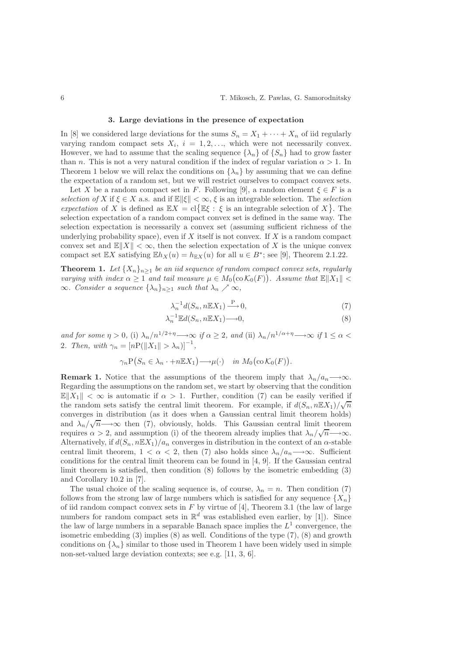#### 3. Large deviations in the presence of expectation

In [8] we considered large deviations for the sums  $S_n = X_1 + \cdots + X_n$  of iid regularly varying random compact sets  $X_i$ ,  $i = 1, 2, \ldots$ , which were not necessarily convex. However, we had to assume that the scaling sequence  $\{\lambda_n\}$  of  $\{S_n\}$  had to grow faster than n. This is not a very natural condition if the index of regular variation  $\alpha > 1$ . In Theorem 1 below we will relax the conditions on  $\{\lambda_n\}$  by assuming that we can define the expectation of a random set, but we will restrict ourselves to compact convex sets.

Let X be a random compact set in F. Following [9], a random element  $\xi \in F$  is a selection of X if  $\xi \in X$  a.s. and if  $\mathbb{E} \|\xi\| < \infty$ ,  $\xi$  is an integrable selection. The selection expectation of X is defined as  $\mathbb{E} X = \text{cl}\{\mathbb{E} \xi : \xi \text{ is an integrable selection of } X\}.$  The selection expectation of a random compact convex set is defined in the same way. The selection expectation is necessarily a convex set (assuming sufficient richness of the underlying probability space), even if  $X$  itself is not convex. If  $X$  is a random compact convex set and  $\mathbb{E}[|X|] < \infty$ , then the selection expectation of X is the unique convex compact set  $\mathbb{E}X$  satisfying  $\mathbb{E}h_X(u) = h_{\mathbb{E}X}(u)$  for all  $u \in B^*$ ; see [9], Theorem 2.1.22.

**Theorem 1.** Let  ${X_n}_{n>1}$  be an iid sequence of random compact convex sets, regularly varying with index  $\alpha \geq 1$  and tail measure  $\mu \in M_0(\text{co }\mathcal{K}_0(F))$ . Assume that  $\mathbb{E} \|X_1\| <$  $\infty$ . Consider a sequence  $\{\lambda_n\}_{n\geq 1}$  such that  $\lambda_n \nearrow \infty$ ,

$$
\lambda_n^{-1} d(S_n, n \mathbb{E} X_1) \xrightarrow{\mathbf{P}} 0,\tag{7}
$$

$$
\lambda_n^{-1} \mathbb{E} d(S_n, n \mathbb{E} X_1) \longrightarrow 0,
$$
\n<sup>(8)</sup>

and for some  $\eta > 0$ , (i)  $\lambda_n/n^{1/2+\eta} \longrightarrow \infty$  if  $\alpha \geq 2$ , and (ii)  $\lambda_n/n^{1/\alpha+\eta} \longrightarrow \infty$  if  $1 \leq \alpha <$ 2. Then, with  $\gamma_n = [n \text{P}(\|X_1\| > \lambda_n)]^{-1}$ ,

$$
\gamma_n \mathcal{P}(S_n \in \lambda_n \cdot + n \mathbb{E} X_1) \longrightarrow \mu(\cdot) \quad \text{in } M_0(\text{co } \mathcal{K}_0(F)).
$$

**Remark 1.** Notice that the assumptions of the theorem imply that  $\lambda_n/a_n \longrightarrow \infty$ . Regarding the assumptions on the random set, we start by observing that the condition  $\mathbb{E}[X_1] < \infty$  is automatic if  $\alpha > 1$ . Further, condition (7) can be easily verified if the random sets satisfy the central limit theorem. For example, if  $d(S_n, n\mathbb{E}X_1)/\sqrt{n}$ converges in distribution (as it does when a Gaussian central limit theorem holds) and  $\lambda_n/\sqrt{n} \longrightarrow \infty$  then (7), obviously, holds. This Gaussian central limit theorem requires  $\alpha > 2$ , and assumption (i) of the theorem already implies that  $\lambda_n/\sqrt{n} \longrightarrow \infty$ . Alternatively, if  $d(S_n, n\mathbb{E}X_1)/a_n$  converges in distribution in the context of an  $\alpha$ -stable central limit theorem,  $1 < \alpha < 2$ , then (7) also holds since  $\lambda_n/a_n \longrightarrow \infty$ . Sufficient conditions for the central limit theorem can be found in [4, 9]. If the Gaussian central limit theorem is satisfied, then condition (8) follows by the isometric embedding (3) and Corollary 10.2 in [7].

The usual choice of the scaling sequence is, of course,  $\lambda_n = n$ . Then condition (7) follows from the strong law of large numbers which is satisfied for any sequence  $\{X_n\}$ of iid random compact convex sets in  $F$  by virtue of [4], Theorem 3.1 (the law of large numbers for random compact sets in  $\mathbb{R}^d$  was established even earlier, by [1]). Since the law of large numbers in a separable Banach space implies the  $L<sup>1</sup>$  convergence, the isometric embedding  $(3)$  implies  $(8)$  as well. Conditions of the type  $(7)$ ,  $(8)$  and growth conditions on  $\{\lambda_n\}$  similar to those used in Theorem 1 have been widely used in simple non-set-valued large deviation contexts; see e.g. [11, 3, 6].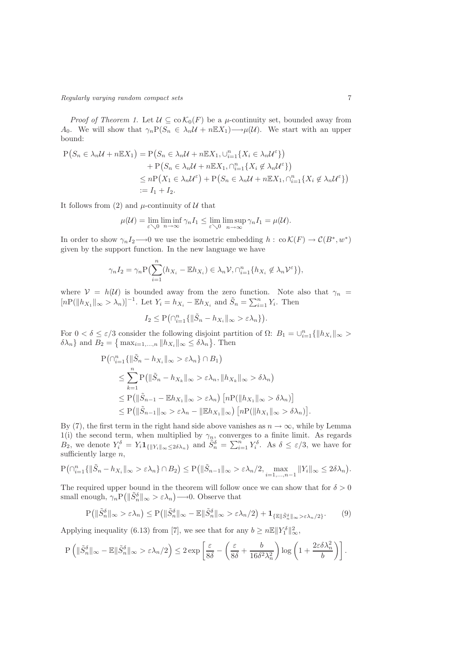Regularly varying random compact sets 7

*Proof of Theorem 1.* Let  $\mathcal{U} \subseteq \text{co} \mathcal{K}_0(F)$  be a  $\mu$ -continuity set, bounded away from A<sub>0</sub>. We will show that  $\gamma_n P(S_n \in \lambda_n \mathcal{U} + n \mathbb{E} X_1) \longrightarrow \mu(\mathcal{U})$ . We start with an upper bound:

$$
P(S_n \in \lambda_n \mathcal{U} + n \mathbb{E} X_1) = P(S_n \in \lambda_n \mathcal{U} + n \mathbb{E} X_1, \cup_{i=1}^n \{X_i \in \lambda_n \mathcal{U}^{\varepsilon}\})
$$
  
+ 
$$
P(S_n \in \lambda_n \mathcal{U} + n \mathbb{E} X_1, \cap_{i=1}^n \{X_i \notin \lambda_n \mathcal{U}^{\varepsilon}\})
$$
  

$$
\leq n P(X_1 \in \lambda_n \mathcal{U}^{\varepsilon}) + P(S_n \in \lambda_n \mathcal{U} + n \mathbb{E} X_1, \cap_{i=1}^n \{X_i \notin \lambda_n \mathcal{U}^{\varepsilon}\})
$$
  
:=  $I_1 + I_2$ .

It follows from (2) and  $\mu$ -continuity of U that

$$
\mu(\mathcal{U}) = \lim_{\varepsilon \searrow 0} \liminf_{n \to \infty} \gamma_n I_1 \le \lim_{\varepsilon \searrow 0} \limsup_{n \to \infty} \gamma_n I_1 = \mu(\mathcal{U}).
$$

In order to show  $\gamma_n I_2 \longrightarrow 0$  we use the isometric embedding  $h : \text{co }\mathcal{K}(F) \longrightarrow \mathcal{C}(B^*, w^*)$ given by the support function. In the new language we have

$$
\gamma_n I_2 = \gamma_n P \big( \sum_{i=1}^n (h_{X_i} - \mathbb{E} h_{X_i}) \in \lambda_n \mathcal{V}, \bigcap_{i=1}^n \{ h_{X_i} \notin \lambda_n \mathcal{V}^{\varepsilon} \} \big),
$$

where  $V = h(U)$  is bounded away from the zero function. Note also that  $\gamma_n =$  $[nP(||h_{X_1}||_{\infty} > \lambda_n)]^{-1}$ . Let  $Y_i = h_{X_i} - \mathbb{E}h_{X_i}$  and  $\tilde{S}_n = \sum_{i=1}^n Y_i$ . Then

$$
I_2 \leq \mathbf{P}\big(\cap_{i=1}^n \{\|\tilde{S}_n - h_{X_i}\|_{\infty} > \varepsilon \lambda_n\}\big).
$$

For  $0 < \delta \leq \varepsilon/3$  consider the following disjoint partition of  $\Omega$ :  $B_1 = \bigcup_{i=1}^n \{||h_{X_i}||_{\infty} > \delta\}$  $\delta \lambda_n$ } and  $B_2 = \{ \max_{i=1,\dots,n} ||h_{X_i}||_{\infty} \leq \delta \lambda_n \}.$  Then

$$
P\left(\bigcap_{i=1}^{n} \{\|\tilde{S}_n - h_{X_i}\|_{\infty} > \varepsilon \lambda_n\} \cap B_1\right)
$$
  
\n
$$
\leq \sum_{k=1}^{n} P\left(\|\tilde{S}_n - h_{X_k}\|_{\infty} > \varepsilon \lambda_n, \|h_{X_k}\|_{\infty} > \delta \lambda_n\right)
$$
  
\n
$$
\leq P\left(\|\tilde{S}_{n-1} - \mathbb{E}h_{X_1}\|_{\infty} > \varepsilon \lambda_n\right) \left[n P(\|h_{X_1}\|_{\infty} > \delta \lambda_n)\right]
$$
  
\n
$$
\leq P\left(\|\tilde{S}_{n-1}\|_{\infty} > \varepsilon \lambda_n - \|\mathbb{E}h_{X_1}\|_{\infty}\right) \left[n P(\|h_{X_1}\|_{\infty} > \delta \lambda_n)\right].
$$

By (7), the first term in the right hand side above vanishes as  $n \to \infty$ , while by Lemma 1(i) the second term, when multiplied by  $\gamma_n$ , converges to a finite limit. As regards  $B_2$ , we denote  $Y_i^{\delta} = Y_i \mathbf{1}_{\{|Y_i\|_{\infty} \leq 2\delta\lambda_n\}}$  and  $\tilde{S}_n^{\delta} = \sum_{i=1}^n Y_i^{\delta}$ . As  $\delta \leq \varepsilon/3$ , we have for sufficiently large  $n$ ,

$$
\mathbf{P}\big(\cap_{i=1}^n \{\|\tilde{S}_n - h_{X_i}\|_{\infty} > \varepsilon \lambda_n\} \cap B_2\big) \le \mathbf{P}\big(\|\tilde{S}_{n-1}\|_{\infty} > \varepsilon \lambda_n/2, \max_{i=1,\dots,n-1} \|Y_i\|_{\infty} \le 2\delta\lambda_n\big).
$$

The required upper bound in the theorem will follow once we can show that for  $\delta > 0$ small enough,  $\gamma_n P(|\tilde{S}_n^{\delta}|_{\infty} > \varepsilon \lambda_n) \longrightarrow 0$ . Observe that

$$
\mathbf{P}\big(\|\tilde{S}_n^{\delta}\|_{\infty} > \varepsilon\lambda_n\big) \leq \mathbf{P}\big(\|\tilde{S}_n^{\delta}\|_{\infty} - \mathbb{E}\|\tilde{S}_n^{\delta}\|_{\infty} > \varepsilon\lambda_n/2\big) + \mathbf{1}_{\{\mathbb{E}\|\tilde{S}_n^{\delta}\|_{\infty} > \varepsilon\lambda_n/2\}}.\tag{9}
$$

Applying inequality (6.13) from [7], we see that for any  $b \ge n \mathbb{E} ||Y_1^{\delta}||_{\infty}^2$ ,

$$
\mathbf{P}\left(\|\tilde{S}_n^\delta\|_\infty - \mathbb{E}\|\tilde{S}_n^\delta\|_\infty > \varepsilon\lambda_n/2\right) \leq 2\exp\left[\frac{\varepsilon}{8\delta} - \left(\frac{\varepsilon}{8\delta} + \frac{b}{16\delta^2\lambda_n^2}\right)\log\left(1 + \frac{2\varepsilon\delta\lambda_n^2}{b}\right)\right].
$$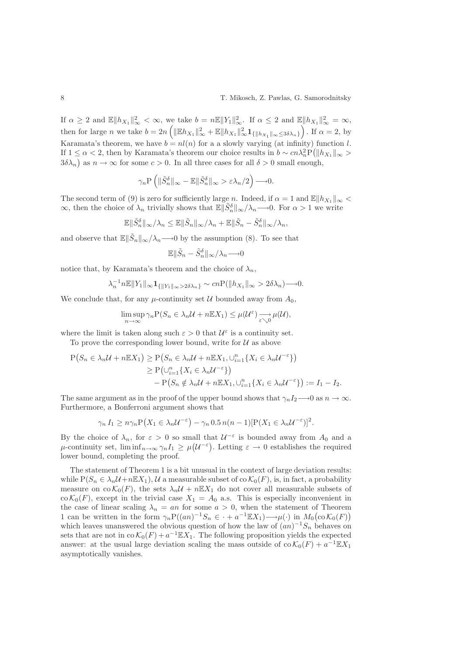If  $\alpha \geq 2$  and  $\mathbb{E} \|h_{X_1}\|_{\infty}^2 < \infty$ , we take  $b = n \mathbb{E} \|Y_1\|_{\infty}^2$ . If  $\alpha \leq 2$  and  $\mathbb{E} \|h_{X_1}\|_{\infty}^2 = \infty$ , then for large n we take  $b = 2n \left( \|\mathbb{E}h_{X_1}\|_{\infty}^2 + \mathbb{E}\|h_{X_1}\|_{\infty}^2 \mathbf{1}_{\{\|h_{X_1}\|_{\infty} \leq 3\delta\lambda_n\}} \right)$ . If  $\alpha = 2$ , by Karamata's theorem, we have  $b = n(n)$  for a a slowly varying (at infinity) function l. If  $1 \leq \alpha < 2$ , then by Karamata's theorem our choice results in  $b \sim cn \lambda_n^2 P(||h_{X_1}||_{\infty} >$  $3\delta\lambda_n$ ) as  $n \to \infty$  for some  $c > 0$ . In all three cases for all  $\delta > 0$  small enough,

$$
\gamma_n \mathbf{P}\left(\|\tilde{S}_n^{\delta}\|_{\infty} - \mathbb{E}\|\tilde{S}_n^{\delta}\|_{\infty} > \varepsilon \lambda_n/2\right) \longrightarrow 0.
$$

The second term of (9) is zero for sufficiently large n. Indeed, if  $\alpha = 1$  and  $\mathbb{E} \| h_{X_1} \|_{\infty} <$  $\infty$ , then the choice of  $\lambda_n$  trivially shows that  $\mathbb{E} \|\tilde{S}_n^{\delta}\|_{\infty}/\lambda_n \longrightarrow 0$ . For  $\alpha > 1$  we write

$$
\mathbb{E} \|\tilde{S}_n^{\delta}\|_{\infty}/\lambda_n \leq \mathbb{E} \|\tilde{S}_n\|_{\infty}/\lambda_n + \mathbb{E} \|\tilde{S}_n - \tilde{S}_n^{\delta}\|_{\infty}/\lambda_n,
$$

and observe that  $\mathbb{E} \|\tilde{S}_n\|_{\infty}/\lambda_n \longrightarrow 0$  by the assumption (8). To see that

$$
\mathbb{E}\|\tilde{S}_n - \tilde{S}_n^{\delta}\|_{\infty}/\lambda_n \longrightarrow 0
$$

notice that, by Karamata's theorem and the choice of  $\lambda_n$ ,

$$
\lambda_n^{-1} n \mathbb{E} \|Y_1\|_{\infty} \mathbf{1}_{\{\|Y_1\|_{\infty} > 2\delta\lambda_n\}} \sim cn \mathcal{P}(\|h_{X_1}\|_{\infty} > 2\delta\lambda_n) \longrightarrow 0.
$$

We conclude that, for any  $\mu$ -continuity set U bounded away from  $A_0$ ,

$$
\limsup_{n \to \infty} \gamma_n \mathcal{P}(S_n \in \lambda_n \mathcal{U} + n \mathbb{E} X_1) \leq \mu(\mathcal{U}^{\varepsilon}) \longrightarrow_{\varepsilon \searrow 0} \mu(\mathcal{U}),
$$

where the limit is taken along such  $\varepsilon > 0$  that  $\mathcal{U}^{\varepsilon}$  is a continuity set.

To prove the corresponding lower bound, write for  $U$  as above

$$
P(S_n \in \lambda_n \mathcal{U} + n \mathbb{E} X_1) \ge P(S_n \in \lambda_n \mathcal{U} + n \mathbb{E} X_1, \cup_{i=1}^n \{X_i \in \lambda_n \mathcal{U}^{-\varepsilon}\})
$$
  
\n
$$
\ge P(\cup_{i=1}^n \{X_i \in \lambda_n \mathcal{U}^{-\varepsilon}\})
$$
  
\n
$$
- P(S_n \notin \lambda_n \mathcal{U} + n \mathbb{E} X_1, \cup_{i=1}^n \{X_i \in \lambda_n \mathcal{U}^{-\varepsilon}\}) := I_1 - I_2.
$$

The same argument as in the proof of the upper bound shows that  $\gamma_n I_2 \longrightarrow 0$  as  $n \to \infty$ . Furthermore, a Bonferroni argument shows that

$$
\gamma_n I_1 \geq n \gamma_n P\big(X_1 \in \lambda_n \mathcal{U}^{-\varepsilon}\big) - \gamma_n 0.5 n(n-1) [P(X_1 \in \lambda_n \mathcal{U}^{-\varepsilon})]^2.
$$

By the choice of  $\lambda_n$ , for  $\varepsilon > 0$  so small that  $\mathcal{U}^{-\varepsilon}$  is bounded away from  $A_0$  and a  $\mu$ -continuity set,  $\liminf_{n\to\infty} \gamma_n I_1 \geq \mu(\mathcal{U}^{-\varepsilon})$ . Letting  $\varepsilon \to 0$  establishes the required lower bound, completing the proof.

The statement of Theorem 1 is a bit unusual in the context of large deviation results: while  $P(S_n \in \lambda_n \mathcal{U} + n\mathbb{E}X_1), \mathcal{U}$  a measurable subset of co $\mathcal{K}_0(F)$ , is, in fact, a probability measure on co  $\mathcal{K}_0(F)$ , the sets  $\lambda_n \mathcal{U} + n \mathbb{E} X_1$  do not cover all measurable subsets of  $\operatorname{co}\mathcal{K}_0(F)$ , except in the trivial case  $X_1 = A_0$  a.s. This is especially inconvenient in the case of linear scaling  $\lambda_n = an$  for some  $a > 0$ , when the statement of Theorem 1 can be written in the form  $\gamma_n P((an)^{-1}S_n \in \cdot + a^{-1} \mathbb{E}X_1) \longrightarrow \mu(\cdot)$  in  $M_0(\text{co } \mathcal{K}_0(F))$ which leaves unanswered the obvious question of how the law of  $(an)^{-1}S_n$  behaves on sets that are not in  $\cos \mathcal{K}_0(F) + a^{-1} \mathbb{E} X_1$ . The following proposition yields the expected answer: at the usual large deviation scaling the mass outside of  $\cos \mathcal{K}_0(F) + a^{-1} \mathbb{E} X_1$ asymptotically vanishes.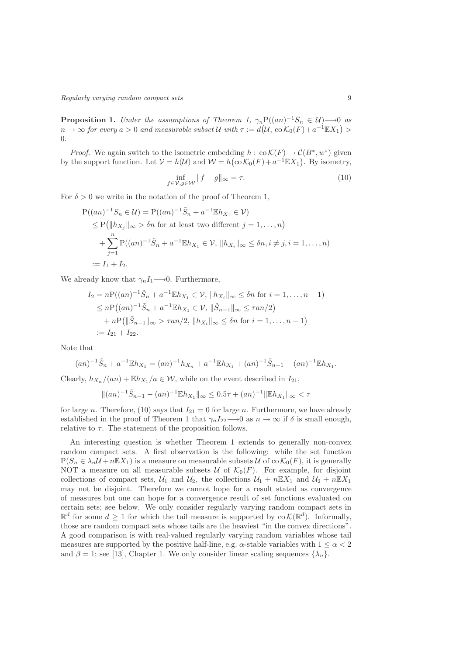Regularly varying random compact sets 9

**Proposition 1.** Under the assumptions of Theorem 1,  $\gamma_n P((an)^{-1}S_n \in \mathcal{U}) \longrightarrow 0$  as  $n \to \infty$  for every  $a > 0$  and measurable subset U with  $\tau := d(\mathcal{U}, \, \text{co} \, \mathcal{K}_0(F) + a^{-1} \mathbb{E} X_1) > 0$ 0.

*Proof.* We again switch to the isometric embedding  $h : \text{co }\mathcal{K}(F) \to \mathcal{C}(B^*, w^*)$  given by the support function. Let  $V = h(U)$  and  $W = h(\text{co }K_0(F) + a^{-1} \mathbb{E}X_1)$ . By isometry,

$$
\inf_{f \in \mathcal{V}, g \in \mathcal{W}} \|f - g\|_{\infty} = \tau.
$$
\n(10)

For  $\delta > 0$  we write in the notation of the proof of Theorem 1,

$$
P((an)^{-1}S_n \in \mathcal{U}) = P((an)^{-1}\tilde{S}_n + a^{-1} \mathbb{E}h_{X_1} \in \mathcal{V})
$$
  
\n
$$
\leq P(||h_{X_j}||_{\infty} > \delta n \text{ for at least two different } j = 1,..., n)
$$
  
\n
$$
+ \sum_{j=1}^n P((an)^{-1}\tilde{S}_n + a^{-1} \mathbb{E}h_{X_1} \in \mathcal{V}, ||h_{X_i}||_{\infty} \leq \delta n, i \neq j, i = 1,..., n)
$$
  
\n:= I\_1 + I\_2.

We already know that  $\gamma_n I_1 \longrightarrow 0$ . Furthermore,

$$
I_2 = nP((an)^{-1}\tilde{S}_n + a^{-1}\mathbb{E}h_{X_1} \in \mathcal{V}, \|h_{X_i}\|_{\infty} \le \delta n \text{ for } i = 1, ..., n-1)
$$
  
\n
$$
\le nP((an)^{-1}\tilde{S}_n + a^{-1}\mathbb{E}h_{X_1} \in \mathcal{V}, \|\tilde{S}_{n-1}\|_{\infty} \le \tau an/2)
$$
  
\n
$$
+ nP(\|\tilde{S}_{n-1}\|_{\infty} > \tau an/2, \|h_{X_i}\|_{\infty} \le \delta n \text{ for } i = 1, ..., n-1)
$$
  
\n:=  $I_{21} + I_{22}$ .

Note that

$$
(an)^{-1}\tilde{S}_n + a^{-1}\mathbb{E}h_{X_1} = (an)^{-1}h_{X_n} + a^{-1}\mathbb{E}h_{X_1} + (an)^{-1}\tilde{S}_{n-1} - (an)^{-1}\mathbb{E}h_{X_1}.
$$

Clearly,  $h_{X_n}/(an) + \mathbb{E}h_{X_1}/a \in \mathcal{W}$ , while on the event described in  $I_{21}$ ,

$$
||(an)^{-1}\tilde{S}_{n-1} - (an)^{-1} \mathbb{E}h_{X_1}||_{\infty} \le 0.5\tau + (an)^{-1} ||\mathbb{E}h_{X_1}||_{\infty} < \tau
$$

for large n. Therefore, (10) says that  $I_{21} = 0$  for large n. Furthermore, we have already established in the proof of Theorem 1 that  $\gamma_n I_{22} \longrightarrow 0$  as  $n \to \infty$  if  $\delta$  is small enough, relative to  $\tau$ . The statement of the proposition follows.

An interesting question is whether Theorem 1 extends to generally non-convex random compact sets. A first observation is the following: while the set function  $P(S_n \in \lambda_n \mathcal{U} + n \mathbb{E} X_1)$  is a measure on measurable subsets  $\mathcal{U}$  of co $\mathcal{K}_0(F)$ , it is generally NOT a measure on all measurable subsets  $\mathcal U$  of  $\mathcal K_0(F)$ . For example, for disjoint collections of compact sets,  $U_1$  and  $U_2$ , the collections  $U_1 + n\mathbb{E}X_1$  and  $U_2 + n\mathbb{E}X_1$ may not be disjoint. Therefore we cannot hope for a result stated as convergence of measures but one can hope for a convergence result of set functions evaluated on certain sets; see below. We only consider regularly varying random compact sets in  $\mathbb{R}^d$  for some  $d \geq 1$  for which the tail measure is supported by  $\text{co } \mathcal{K}(\mathbb{R}^d)$ . Informally, those are random compact sets whose tails are the heaviest "in the convex directions". A good comparison is with real-valued regularly varying random variables whose tail measures are supported by the positive half-line, e.g.  $\alpha$ -stable variables with  $1 \leq \alpha < 2$ and  $\beta = 1$ ; see [13], Chapter 1. We only consider linear scaling sequences  $\{\lambda_n\}$ .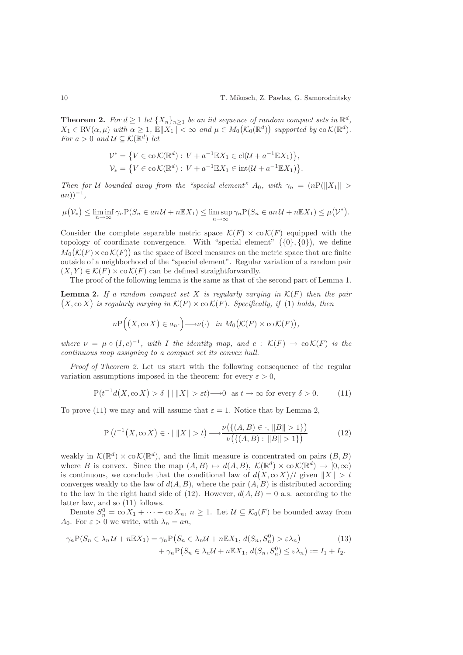**Theorem 2.** For  $d \geq 1$  let  $\{X_n\}_{n\geq 1}$  be an iid sequence of random compact sets in  $\mathbb{R}^d$ ,  $X_1 \in RV(\alpha, \mu)$  with  $\alpha \geq 1$ ,  $\mathbb{E} \|X_1\| < \infty$  and  $\mu \in M_0(\mathcal{K}_0(\mathbb{R}^d))$  supported by  $\text{co } \mathcal{K}(\mathbb{R}^d)$ . For  $a > 0$  and  $\mathcal{U} \subseteq \mathcal{K}(\mathbb{R}^d)$  let

$$
\mathcal{V}^* = \{ V \in \text{co}\,\mathcal{K}(\mathbb{R}^d) : V + a^{-1} \mathbb{E}X_1 \in \text{cl}(\mathcal{U} + a^{-1} \mathbb{E}X_1) \},
$$
  

$$
\mathcal{V}_* = \{ V \in \text{co}\,\mathcal{K}(\mathbb{R}^d) : V + a^{-1} \mathbb{E}X_1 \in \text{int}(\mathcal{U} + a^{-1} \mathbb{E}X_1) \}.
$$

Then for U bounded away from the "special element"  $A_0$ , with  $\gamma_n = (nP(||X_1|| >$  $an$ ) $)^{-1}$ ,

$$
\mu(\mathcal{V}_*) \le \liminf_{n \to \infty} \gamma_n \mathcal{P}(S_n \in an \mathcal{U} + n \mathbb{E} X_1) \le \limsup_{n \to \infty} \gamma_n \mathcal{P}(S_n \in an \mathcal{U} + n \mathbb{E} X_1) \le \mu(\mathcal{V}^*).
$$

Consider the complete separable metric space  $\mathcal{K}(F) \times \mathcal{C}(\mathcal{K}(F))$  equipped with the topology of coordinate convergence. With "special element"  $(0, 0)$ , we define  $M_0(K(F) \times \text{co } K(F))$  as the space of Borel measures on the metric space that are finite outside of a neighborhood of the "special element". Regular variation of a random pair  $(X, Y) \in \mathcal{K}(F) \times \text{co }\mathcal{K}(F)$  can be defined straightforwardly.

The proof of the following lemma is the same as that of the second part of Lemma 1.

**Lemma 2.** If a random compact set X is regularly varying in  $\mathcal{K}(F)$  then the pair  $(X, \text{co } X)$  is regularly varying in  $\mathcal{K}(F) \times \text{co } \mathcal{K}(F)$ . Specifically, if (1) holds, then

$$
n\mathrm{P}((X,\mathrm{co}\,X)\in a_n\cdot\big)\longrightarrow \nu(\cdot)\quad\text{in}\ M_0(\mathcal{K}(F)\times\mathrm{co}\,\mathcal{K}(F)),
$$

where  $\nu = \mu \circ (I, c)^{-1}$ , with I the identity map, and  $c : \mathcal{K}(F) \to \text{co } \mathcal{K}(F)$  is the continuous map assigning to a compact set its convex hull.

Proof of Theorem 2. Let us start with the following consequence of the regular variation assumptions imposed in the theorem: for every  $\varepsilon > 0$ ,

$$
P(t^{-1}d(X,\text{co }X) > \delta \mid |||X|| > \varepsilon t) \longrightarrow 0 \quad \text{as } t \to \infty \text{ for every } \delta > 0. \tag{11}
$$

To prove (11) we may and will assume that  $\varepsilon = 1$ . Notice that by Lemma 2,

$$
P(t^{-1}(X,\text{co } X) \in \cdot \mid \|X\| > t) \longrightarrow \frac{\nu(\{(A,B) \in \cdot, \|B\| > 1\})}{\nu(\{(A,B) : \|B\| > 1\})}
$$
(12)

weakly in  $\mathcal{K}(\mathbb{R}^d) \times \text{co } \mathcal{K}(\mathbb{R}^d)$ , and the limit measure is concentrated on pairs  $(B, B)$ where B is convex. Since the map  $(A, B) \mapsto d(A, B)$ ,  $\mathcal{K}(\mathbb{R}^d) \times \mathcal{C}(\mathbb{R}^d) \to [0, \infty)$ is continuous, we conclude that the conditional law of  $d(X, \text{co } X)/t$  given  $||X|| > t$ converges weakly to the law of  $d(A, B)$ , where the pair  $(A, B)$  is distributed according to the law in the right hand side of (12). However,  $d(A, B) = 0$  a.s. according to the latter law, and so (11) follows.

Denote  $S_n^0 = \text{co } X_1 + \cdots + \text{co } X_n$ ,  $n \geq 1$ . Let  $\mathcal{U} \subseteq \mathcal{K}_0(F)$  be bounded away from A<sub>0</sub>. For  $\varepsilon > 0$  we write, with  $\lambda_n = an$ ,

$$
\gamma_n \mathcal{P}(S_n \in \lambda_n \mathcal{U} + n \mathbb{E} X_1) = \gamma_n \mathcal{P}(S_n \in \lambda_n \mathcal{U} + n \mathbb{E} X_1, d(S_n, S_n^0) > \varepsilon \lambda_n) + \gamma_n \mathcal{P}(S_n \in \lambda_n \mathcal{U} + n \mathbb{E} X_1, d(S_n, S_n^0) \le \varepsilon \lambda_n) := I_1 + I_2.
$$
\n(13)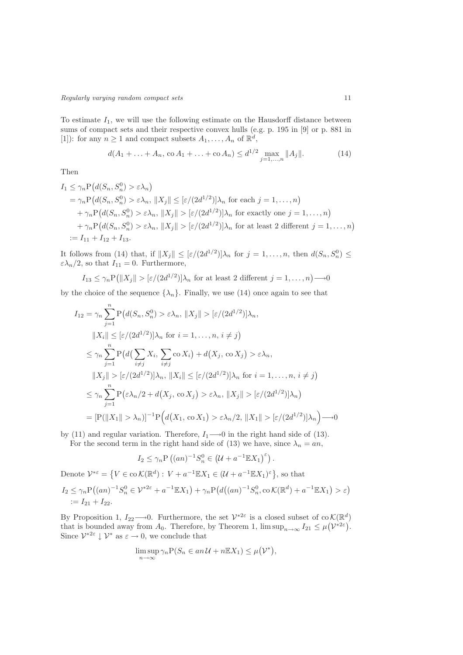To estimate  $I_1$ , we will use the following estimate on the Hausdorff distance between sums of compact sets and their respective convex hulls (e.g. p. 195 in [9] or p. 881 in [1]): for any  $n \ge 1$  and compact subsets  $A_1, \ldots, A_n$  of  $\mathbb{R}^d$ ,

$$
d(A_1 + \ldots + A_n, \operatorname{co} A_1 + \ldots + \operatorname{co} A_n) \le d^{1/2} \max_{j=1,\ldots,n} \|A_j\|.
$$
 (14)

Then

$$
I_1 \leq \gamma_n P\big(d(S_n, S_n^0) > \varepsilon \lambda_n\big) \\
= \gamma_n P\big(d(S_n, S_n^0) > \varepsilon \lambda_n, \|X_j\| \leq \big[\varepsilon/(2d^{1/2})\big]\lambda_n \text{ for each } j = 1, \dots, n\big) \\
+ \gamma_n P\big(d(S_n, S_n^0) > \varepsilon \lambda_n, \|X_j\| > \big[\varepsilon/(2d^{1/2})\big]\lambda_n \text{ for exactly one } j = 1, \dots, n\big) \\
+ \gamma_n P\big(d(S_n, S_n^0) > \varepsilon \lambda_n, \|X_j\| > \big[\varepsilon/(2d^{1/2})\big]\lambda_n \text{ for at least 2 different } j = 1, \dots, n\big) \\
:= I_{11} + I_{12} + I_{13}.
$$

It follows from (14) that, if  $||X_j|| \leq [\varepsilon/(2d^{1/2})] \lambda_n$  for  $j = 1, ..., n$ , then  $d(S_n, S_n^0) \leq$  $\varepsilon \lambda_n/2$ , so that  $I_{11} = 0$ . Furthermore,

$$
I_{13} \le \gamma_n \mathcal{P}\big(\|X_j\| > [\varepsilon/(2d^{1/2})]\lambda_n \text{ for at least 2 different } j = 1,\ldots,n\big) \longrightarrow 0
$$

by the choice of the sequence  $\{\lambda_n\}$ . Finally, we use (14) once again to see that

$$
I_{12} = \gamma_n \sum_{j=1}^n P\big(d(S_n, S_n^0) > \varepsilon \lambda_n, \|X_j\| > [\varepsilon/(2d^{1/2})] \lambda_n,
$$
  
\n
$$
\|X_i\| \leq [\varepsilon/(2d^{1/2})] \lambda_n \text{ for } i = 1, ..., n, i \neq j\big)
$$
  
\n
$$
\leq \gamma_n \sum_{j=1}^n P\big(d\big(\sum_{i \neq j} X_i, \sum_{i \neq j} \text{co } X_i\big) + d\big(X_j, \text{co } X_j\big) > \varepsilon \lambda_n,
$$
  
\n
$$
\|X_j\| > [\varepsilon/(2d^{1/2})] \lambda_n, \|X_i\| \leq [\varepsilon/(2d^{1/2})] \lambda_n \text{ for } i = 1, ..., n, i \neq j\big)
$$
  
\n
$$
\leq \gamma_n \sum_{j=1}^n P\big(\varepsilon \lambda_n/2 + d\big(X_j, \text{co } X_j\big) > \varepsilon \lambda_n, \|X_j\| > [\varepsilon/(2d^{1/2})] \lambda_n\big)
$$
  
\n
$$
= [P(\|X_1\| > \lambda_n)]^{-1} P\Big(d\big(X_1, \text{co } X_1\big) > \varepsilon \lambda_n/2, \|X_1\| > [\varepsilon/(2d^{1/2})] \lambda_n\Big) \longrightarrow 0
$$

by (11) and regular variation. Therefore,  $I_1 \longrightarrow 0$  in the right hand side of (13).

For the second term in the right hand side of (13) we have, since  $\lambda_n = an$ ,

$$
I_2 \le \gamma_n \mathcal{P}\left((an)^{-1}S_n^0 \in \left(\mathcal{U} + a^{-1}\mathbb{E}X_1\right)^{\varepsilon}\right).
$$

Denote  $\mathcal{V}^{*\varepsilon} = \left\{ V \in \text{co}\,\mathcal{K}(\mathbb{R}^d) : V + a^{-1} \mathbb{E}X_1 \in (\mathcal{U} + a^{-1} \mathbb{E}X_1)^{\varepsilon} \right\}$ , so that

$$
I_2 \le \gamma_n \mathcal{P}((an)^{-1} S_n^0 \in \mathcal{V}^{*2\varepsilon} + a^{-1} \mathbb{E} X_1) + \gamma_n \mathcal{P}(d((an)^{-1} S_n^0, \text{co } \mathcal{K}(\mathbb{R}^d) + a^{-1} \mathbb{E} X_1) > \varepsilon)
$$
  
:=  $I_{21} + I_{22}$ .

By Proposition 1,  $I_{22}\longrightarrow 0$ . Furthermore, the set  $\mathcal{V}^{*2\varepsilon}$  is a closed subset of co  $\mathcal{K}(\mathbb{R}^d)$ that is bounded away from  $A_0$ . Therefore, by Theorem 1,  $\limsup_{n\to\infty} I_{21} \leq \mu(\mathcal{V}^{*2\varepsilon})$ . Since  $\mathcal{V}^{*2\varepsilon} \downarrow \mathcal{V}^*$  as  $\varepsilon \to 0$ , we conclude that

$$
\limsup_{n \to \infty} \gamma_n \mathcal{P}(S_n \in an \mathcal{U} + n \mathbb{E} X_1) \le \mu(\mathcal{V}^*),
$$